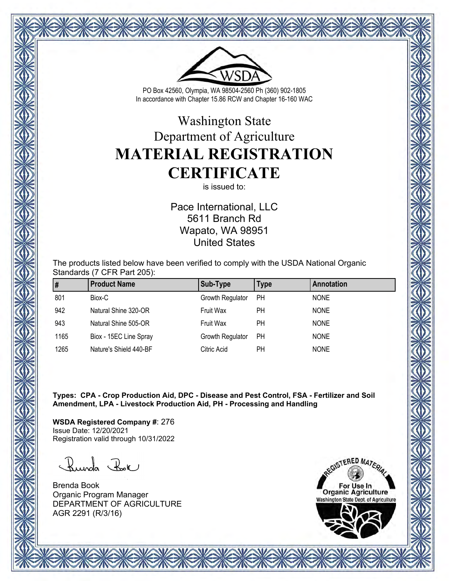

PO Box 42560, Olympia, WA 98504-2560 Ph (360) 902-1805 In accordance with Chapter 15.86 RCW and Chapter 16-160 WAC

## Washington State Department of Agriculture **MATERIAL REGISTRATION CERTIFICATE**

is issued to:

Pace International, LLC 5611 Branch Rd Wapato, WA 98951 United States

The products listed below have been verified to comply with the USDA National Organic Standards (7 CFR Part 205):

| ∥#   | <b>Product Name</b>    | Sub-Type         | Type      | Annotation  |
|------|------------------------|------------------|-----------|-------------|
| 801  | Biox-C                 | Growth Regulator | <b>PH</b> | <b>NONE</b> |
| 942  | Natural Shine 320-OR   | Fruit Wax        | <b>PH</b> | <b>NONE</b> |
| 943  | Natural Shine 505-OR   | Fruit Wax        | <b>PH</b> | <b>NONE</b> |
| 1165 | Biox - 15EC Line Spray | Growth Regulator | <b>PH</b> | <b>NONE</b> |
| 1265 | Nature's Shield 440-BF | Citric Acid      | РH        | <b>NONE</b> |

**Types: CPA - Crop Production Aid, DPC - Disease and Pest Control, FSA - Fertilizer and Soil Amendment, LPA - Livestock Production Aid, PH - Processing and Handling**

**WSDA Registered Company #**: 276 Issue Date: 12/20/2021 Registration valid through 10/31/2022

Runda Rok

Brenda Book Organic Program Manager DEPARTMENT OF AGRICULTURE AGR 2291 (R/3/16)

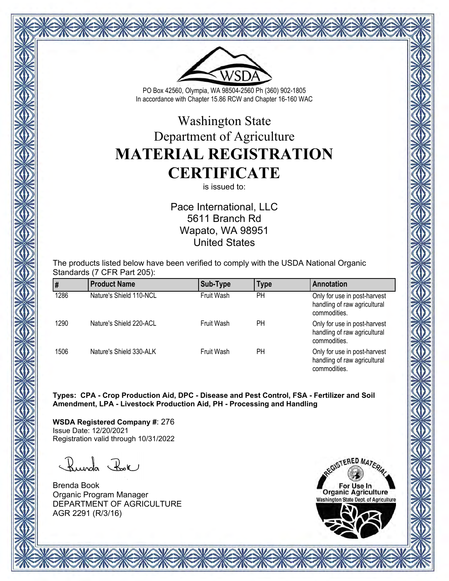

PO Box 42560, Olympia, WA 98504-2560 Ph (360) 902-1805 In accordance with Chapter 15.86 RCW and Chapter 16-160 WAC

## Washington State Department of Agriculture **MATERIAL REGISTRATION CERTIFICATE**

is issued to:

Pace International, LLC 5611 Branch Rd Wapato, WA 98951 United States

The products listed below have been verified to comply with the USDA National Organic Standards (7 CFR Part 205):

|      | <b>Product Name</b>     | Sub-Type   | <b>Type</b> | Annotation                                                                   |
|------|-------------------------|------------|-------------|------------------------------------------------------------------------------|
| 1286 | Nature's Shield 110-NCL | Fruit Wash | PH          | Only for use in post-harvest<br>handling of raw agricultural<br>commodities. |
| 1290 | Nature's Shield 220-ACL | Fruit Wash | PН          | Only for use in post-harvest<br>handling of raw agricultural<br>commodities. |
| 1506 | Nature's Shield 330-ALK | Fruit Wash | PН          | Only for use in post-harvest<br>handling of raw agricultural<br>commodities. |

**Types: CPA - Crop Production Aid, DPC - Disease and Pest Control, FSA - Fertilizer and Soil Amendment, LPA - Livestock Production Aid, PH - Processing and Handling**

**WSDA Registered Company #**: 276 Issue Date: 12/20/2021 Registration valid through 10/31/2022

Runda Rok

Brenda Book Organic Program Manager DEPARTMENT OF AGRICULTURE AGR 2291 (R/3/16)